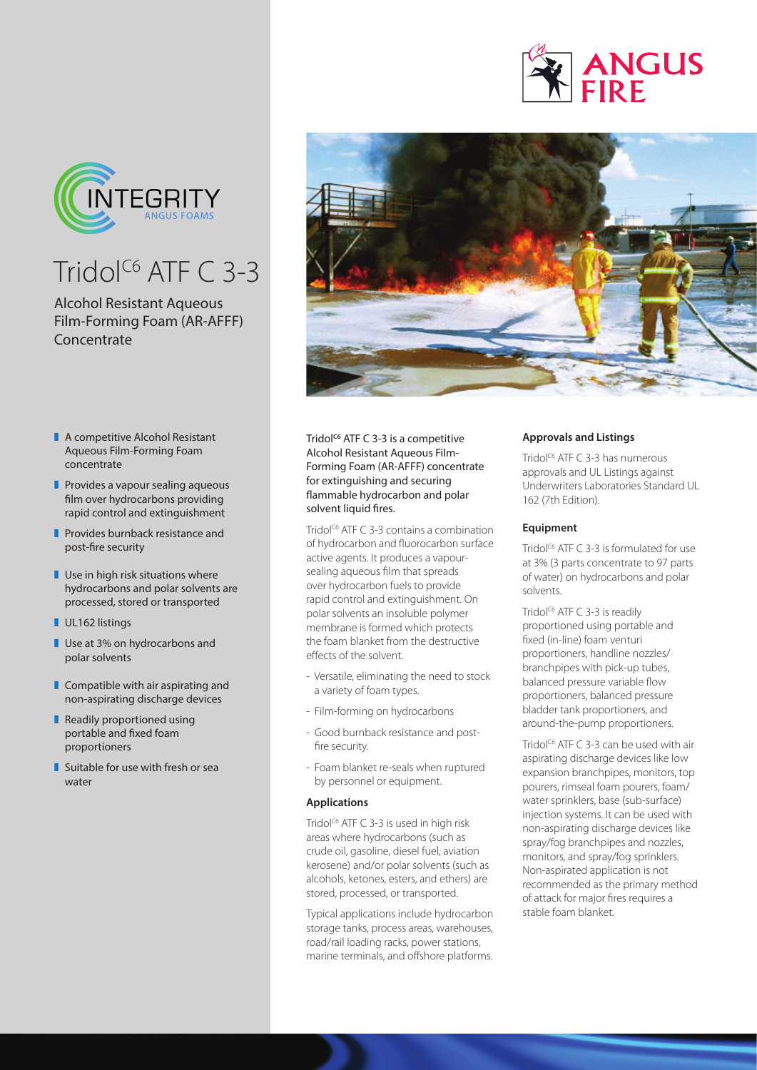

## Tridol<sup>C6</sup> ATF  $C$  3-3

## Alcohol Resistant Aqueous Film-Forming Foam (AR-AFFF) **Concentrate**

- $\blacksquare$  A competitive Alcohol Resistant Aqueous Film-Forming Foam concentrate
- $\blacksquare$  Provides a vapour sealing aqueous film over hydrocarbons providing rapid control and extinguishment
- **Provides burnback resistance and** post-fire security
- $\blacksquare$  Use in high risk situations where hydrocarbons and polar solvents are processed, stored or transported
- **UL162 listings**
- **Use at 3% on hydrocarbons and** polar solvents
- $\blacksquare$  Compatible with air aspirating and non-aspirating discharge devices
- $\blacksquare$  Readily proportioned using portable and fixed foam proportioners
- $\blacksquare$  Suitable for use with fresh or sea water



Tridol<sup>c6</sup> ATF C 3-3 is a competitive Alcohol Resistant Aqueous Film-Forming Foam (AR-AFFF) concentrate for extinguishing and securing flammable hydrocarbon and polar solvent liquid fires.

Tridol<sup>c6</sup> ATF C 3-3 contains a combination of hydrocarbon and fluorocarbon surface active agents. It produces a vapoursealing aqueous film that spreads over hydrocarbon fuels to provide rapid control and extinguishment. On polar solvents an insoluble polymer membrane is formed which protects the foam blanket from the destructive effects of the solvent.

- Versatile, eliminating the need to stock a variety of foam types.
- Film-forming on hydrocarbons
- Good burnback resistance and postfire security.
- Foam blanket re-seals when ruptured by personnel or equipment.

## **Applications**

Tridol<sup> $C6$ </sup> ATF C 3-3 is used in high risk areas where hydrocarbons (such as crude oil, gasoline, diesel fuel, aviation kerosene) and/or polar solvents (such as alcohols, ketones, esters, and ethers) are stored, processed, or transported.

Typical applications include hydrocarbon storage tanks, process areas, warehouses, road/rail loading racks, power stations, marine terminals, and offshore platforms.

## **Approvals and Listings**

Tridol<sup>c6</sup> ATF C 3-3 has numerous approvals and UL Listings against Underwriters Laboratories Standard UL 162 (7th Edition).

**ANGUS** 

#### **Equipment**

Tridol<sup> $C6$ </sup> ATF C 3-3 is formulated for use at 3% (3 parts concentrate to 97 parts of water) on hydrocarbons and polar solvents.

Tridol<sup>c6</sup> ATF C 3-3 is readily proportioned using portable and fixed (in-line) foam venturi proportioners, handline nozzles/ branchpipes with pick-up tubes, balanced pressure variable flow proportioners, balanced pressure bladder tank proportioners, and around-the-pump proportioners.

Tridol<sup>C6</sup> ATF C 3-3 can be used with air aspirating discharge devices like low expansion branchpipes, monitors, top pourers, rimseal foam pourers, foam/ water sprinklers, base (sub-surface) injection systems. It can be used with non-aspirating discharge devices like spray/fog branchpipes and nozzles, monitors, and spray/fog sprinklers. Non-aspirated application is not recommended as the primary method of attack for major fires requires a stable foam blanket.